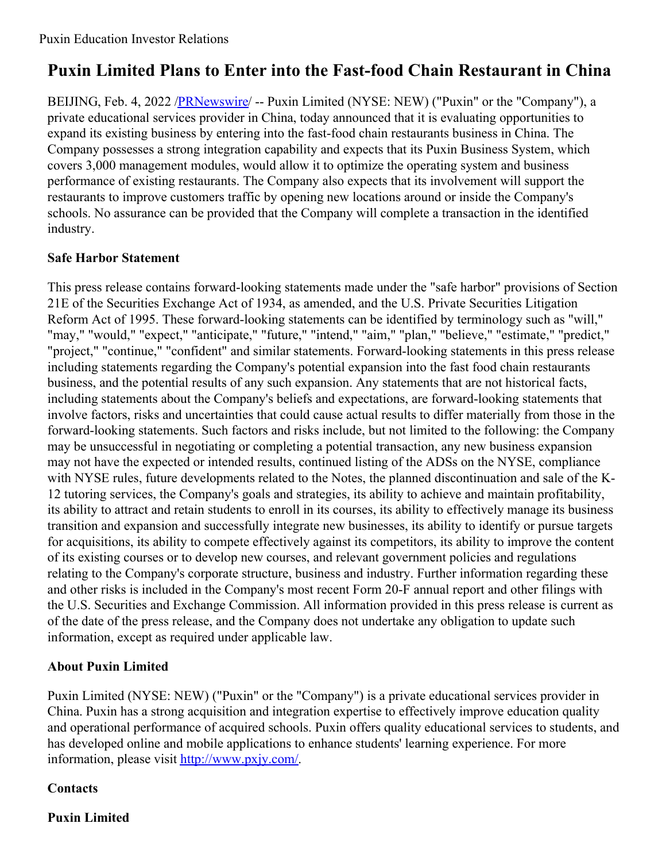# **Puxin Limited Plans to Enter into the Fast-food Chain Restaurant in China**

BEIJING, Feb. 4, 2022 [/PRNewswire](http://www.prnewswire.com/)/ -- Puxin Limited (NYSE: NEW) ("Puxin" or the "Company"), a private educational services provider in China, today announced that it is evaluating opportunities to expand its existing business by entering into the fast-food chain restaurants business in China. The Company possesses a strong integration capability and expects that its Puxin Business System, which covers 3,000 management modules, would allow it to optimize the operating system and business performance of existing restaurants. The Company also expects that its involvement will support the restaurants to improve customers traffic by opening new locations around or inside the Company's schools. No assurance can be provided that the Company will complete a transaction in the identified industry.

## **Safe Harbor Statement**

This press release contains forward-looking statements made under the "safe harbor" provisions of Section 21E of the Securities Exchange Act of 1934, as amended, and the U.S. Private Securities Litigation Reform Act of 1995. These forward-looking statements can be identified by terminology such as "will," "may," "would," "expect," "anticipate," "future," "intend," "aim," "plan," "believe," "estimate," "predict," "project," "continue," "confident" and similar statements. Forward-looking statements in this press release including statements regarding the Company's potential expansion into the fast food chain restaurants business, and the potential results of any such expansion. Any statements that are not historical facts, including statements about the Company's beliefs and expectations, are forward-looking statements that involve factors, risks and uncertainties that could cause actual results to differ materially from those in the forward-looking statements. Such factors and risks include, but not limited to the following: the Company may be unsuccessful in negotiating or completing a potential transaction, any new business expansion may not have the expected or intended results, continued listing of the ADSs on the NYSE, compliance with NYSE rules, future developments related to the Notes, the planned discontinuation and sale of the K-12 tutoring services, the Company's goals and strategies, its ability to achieve and maintain profitability, its ability to attract and retain students to enroll in its courses, its ability to effectively manage its business transition and expansion and successfully integrate new businesses, its ability to identify or pursue targets for acquisitions, its ability to compete effectively against its competitors, its ability to improve the content of its existing courses or to develop new courses, and relevant government policies and regulations relating to the Company's corporate structure, business and industry. Further information regarding these and other risks is included in the Company's most recent Form 20-F annual report and other filings with the U.S. Securities and Exchange Commission. All information provided in this press release is current as of the date of the press release, and the Company does not undertake any obligation to update such information, except as required under applicable law.

## **About Puxin Limited**

Puxin Limited (NYSE: NEW) ("Puxin" or the "Company") is a private educational services provider in China. Puxin has a strong acquisition and integration expertise to effectively improve education quality and operational performance of acquired schools. Puxin offers quality educational services to students, and has developed online and mobile applications to enhance students' learning experience. For more information, please visit <http://www.pxjy.com/>.

## **Contacts**